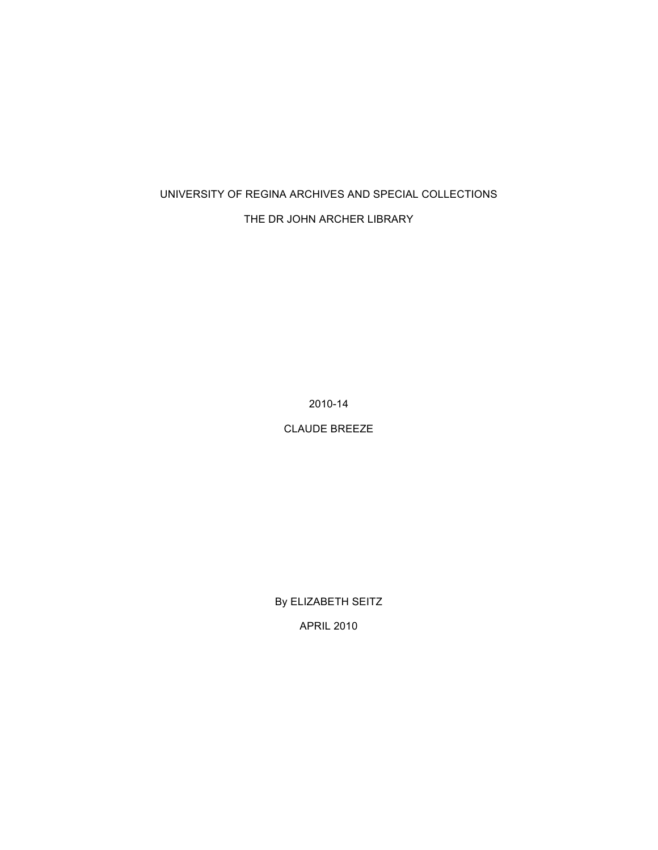## UNIVERSITY OF REGINA ARCHIVES AND SPECIAL COLLECTIONS

## THE DR JOHN ARCHER LIBRARY

2010-14

CLAUDE BREEZE

By ELIZABETH SEITZ APRIL 2010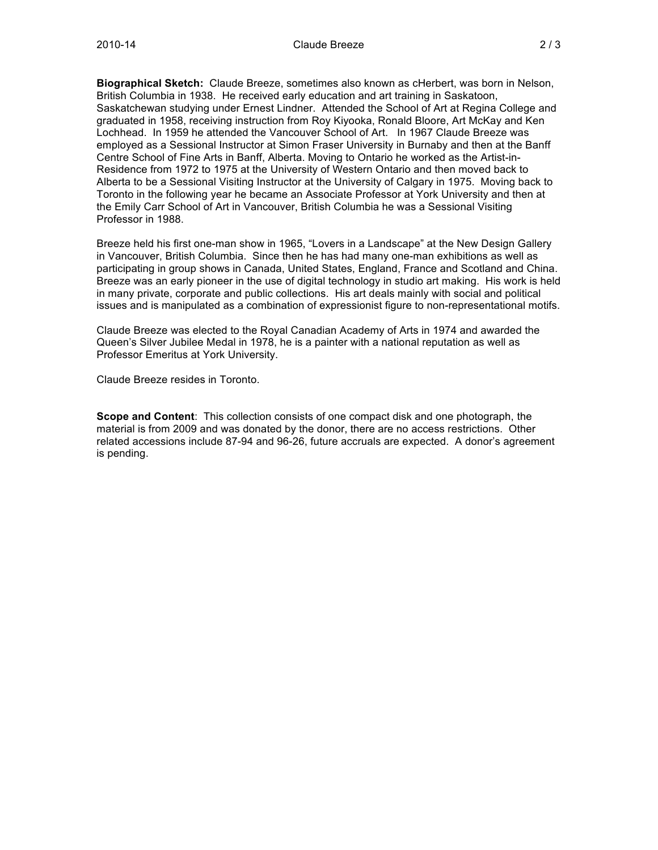**Biographical Sketch:** Claude Breeze, sometimes also known as cHerbert, was born in Nelson, British Columbia in 1938. He received early education and art training in Saskatoon, Saskatchewan studying under Ernest Lindner. Attended the School of Art at Regina College and graduated in 1958, receiving instruction from Roy Kiyooka, Ronald Bloore, Art McKay and Ken Lochhead. In 1959 he attended the Vancouver School of Art. In 1967 Claude Breeze was employed as a Sessional Instructor at Simon Fraser University in Burnaby and then at the Banff Centre School of Fine Arts in Banff, Alberta. Moving to Ontario he worked as the Artist-in-Residence from 1972 to 1975 at the University of Western Ontario and then moved back to Alberta to be a Sessional Visiting Instructor at the University of Calgary in 1975. Moving back to Toronto in the following year he became an Associate Professor at York University and then at the Emily Carr School of Art in Vancouver, British Columbia he was a Sessional Visiting Professor in 1988.

Breeze held his first one-man show in 1965, "Lovers in a Landscape" at the New Design Gallery in Vancouver, British Columbia. Since then he has had many one-man exhibitions as well as participating in group shows in Canada, United States, England, France and Scotland and China. Breeze was an early pioneer in the use of digital technology in studio art making. His work is held in many private, corporate and public collections. His art deals mainly with social and political issues and is manipulated as a combination of expressionist figure to non-representational motifs.

Claude Breeze was elected to the Royal Canadian Academy of Arts in 1974 and awarded the Queen's Silver Jubilee Medal in 1978, he is a painter with a national reputation as well as Professor Emeritus at York University.

Claude Breeze resides in Toronto.

**Scope and Content**: This collection consists of one compact disk and one photograph, the material is from 2009 and was donated by the donor, there are no access restrictions. Other related accessions include 87-94 and 96-26, future accruals are expected. A donor's agreement is pending.